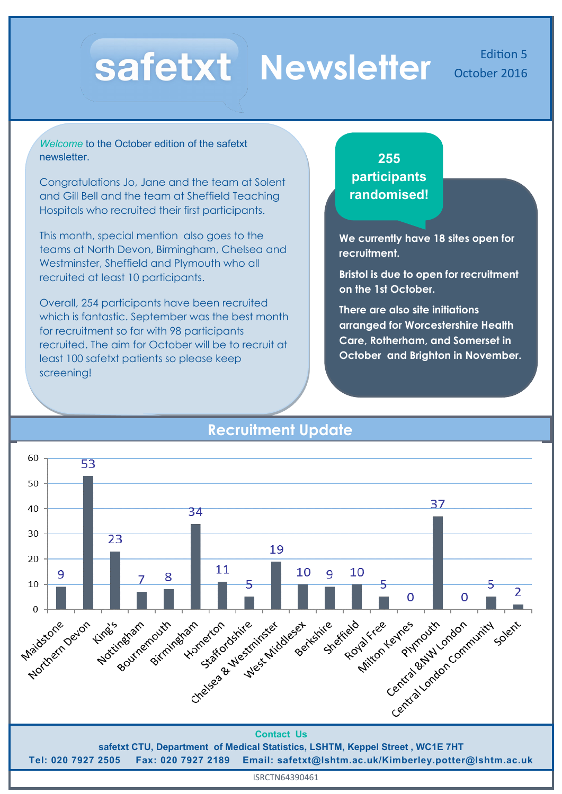# **Newsletter** October 2016

*Welcome* to the October edition of the safetxt newsletter.

Congratulations Jo, Jane and the team at Solent and Gill Bell and the team at Sheffield Teaching Hospitals who recruited their first participants.

This month, special mention also goes to the teams at North Devon, Birmingham, Chelsea and Westminster, Sheffield and Plymouth who all recruited at least 10 participants.

Overall, 254 participants have been recruited which is fantastic. September was the best month for recruitment so far with 98 participants recruited. The aim for October will be to recruit at least 100 safetxt patients so please keep screening!

**255 participants randomised!**

**We currently have 18 sites open for recruitment.**

**Bristol is due to open for recruitment on the 1st October.**

**There are also site initiations arranged for Worcestershire Health Care, Rotherham, and Somerset in October and Brighton in November.**



## **Recruitment Update**